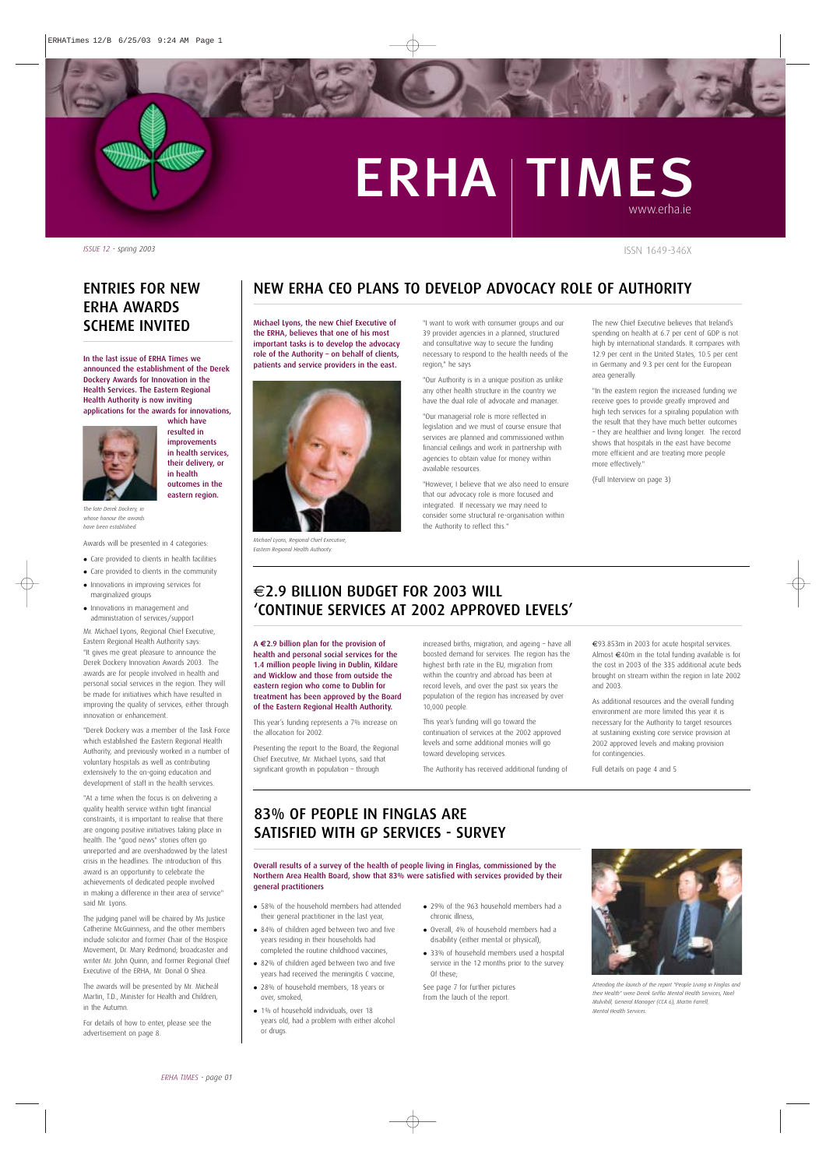## ERHA TIMES www.erha.ie

ISSN 1649-346X

*ISSUE 12 - spring 2003*

## NEW ERHA CEO PLANS TO DEVELOP ADVOCACY ROLE OF AUTHORITY

Michael Lyons, the new Chief Executive of the ERHA, believes that one of his most important tasks is to develop the advocacy role of the Authority – on behalf of clients, patients and service providers in the east.



*Michael Lyons, Regional Chief Executive, Eastern Regional Health Authority.*

"I want to work with consumer groups and our 39 provider agencies in a planned, structured and consultative way to secure the funding necessary to respond to the health needs of the region," he says

"Our Authority is in a unique position as unlike any other health structure in the country we have the dual role of advocate and manager.

"Our managerial role is more reflected in legislation and we must of course ensure that services are planned and commissioned within financial ceilings and work in partnership with agencies to obtain value for money within available resources.

"However, I believe that we also need to ensure that our advocacy role is more focused and integrated. If necessary we may need to consider some structural re-organisation within the Authority to reflect this."

The new Chief Executive believes that Ireland's spending on health at 6.7 per cent of GDP is not high by international standards. It compares with 12.9 per cent in the United States, 10.5 per cent in Germany and 9.3 per cent for the European area generally.

"In the eastern region the increased funding we receive goes to provide greatly improved and high tech services for a spiraling population with the result that they have much better outcomes – they are healthier and living longer. The record shows that hospitals in the east have become more efficient and are treating more people more effectively."

(Full Interview on page 3)

## $\in$  2.9 BILLION BUDGET FOR 2003 WILL 'CONTINUE SERVICES AT 2002 APPROVED LEVELS'

A **€**2.9 billion plan for the provision of health and personal social services for the 1.4 million people living in Dublin, Kildare and Wicklow and those from outside the eastern region who come to Dublin for treatment has been approved by the Board of the Eastern Regional Health Authority.

This year's funding represents a 7% increase on the allocation for 2002.

Presenting the report to the Board, the Regional Chief Executive, Mr. Michael Lyons, said that significant growth in population – through

increased births, migration, and ageing – have all boosted demand for services. The region has the highest birth rate in the EU, migration from within the country and abroad has been at record levels, and over the past six years the population of the region has increased by over 10,000 people.

This year's funding will go toward the continuation of services at the 2002 approved levels and some additional monies will go toward developing services.

The Authority has received additional funding of

€93.853m in 2003 for acute hospital services. Almost €40m in the total funding available is for the cost in 2003 of the 335 additional acute beds brought on stream within the region in late 2002 and 2003.

As additional resources and the overall funding environment are more limited this year it is necessary for the Authority to target resources at sustaining existing core service provision at 2002 approved levels and making provision for contingencies.

Full details on page 4 and 5

## 83% OF PEOPLE IN FINGLAS ARE SATISFIED WITH GP SERVICES - SURVEY

#### Overall results of a survey of the health of people living in Finglas, commissioned by the Northern Area Health Board, show that 83% were satisfied with services provided by their general practitioners

- 58% of the household members had attended their general practitioner in the last year,
- 84% of children aged between two and five years residing in their households had completed the routine childhood vaccines,
- 82% of children aged between two and five years had received the meningitis C vaccine,
- 28% of household members, 18 years or over, smoked,
- 1% of household individuals, over 18 years old, had a problem with either alcohol or drugs.
- 29% of the 963 household members had a chronic illness,
- Overall, 4% of household members had a disability (either mental or physical),
- 33% of household members used a hospital service in the 12 months prior to the survey. Of these;

See page 7 for further pictures from the lauch of the report.



*Attending the launch of the report "People Living in Finglas and their Health" were Derek Griffin Mental Health Services, Noel Mulvihill, General Manager (CCA 6), Martin Farrell, Mental Health Services.*

Health Services. The Eastern Regional Health Authority is now inviting applications for the awards for innovations, which have resulted in improvements

In the last issue of ERHA Times we announced the establishment of the Derek Dockery Awards for Innovation in the

ENTRIES FOR NEW

ERHA AWARDS

SCHEME INVITED



in health services, their delivery, or in health outcomes in the eastern region.

*The late Derek Dockery, in whose honour the awards have been established.*

Awards will be presented in 4 categories:

- Care provided to clients in health facilities
- Care provided to clients in the community Innovations in improving services for
- marginalized groups Innovations in management and

administration of services/support Mr. Michael Lyons, Regional Chief Executive, Eastern Regional Health Authority says: "It gives me great pleasure to announce the Derek Dockery Innovation Awards 2003. The awards are for people involved in health and personal social services in the region. They will be made for initiatives which have resulted in improving the quality of services, either through innovation or enhancement.

"Derek Dockery was a member of the Task Force which established the Eastern Regional Health Authority, and previously worked in a number of voluntary hospitals as well as contributing extensively to the on-going education and development of staff in the health services.

"At a time when the focus is on delivering a quality health service within tight financial constraints, it is important to realise that there are ongoing positive initiatives taking place in health. The "good news" stories often go unreported and are overshadowed by the latest crisis in the headlines. The introduction of this award is an opportunity to celebrate the achievements of dedicated people involved in making a difference in their area of service" said Mr. Lyons.

The judging panel will be chaired by Ms Justice Catherine McGuinness, and the other members include solicitor and former Chair of the Hospice Movement, Dr. Mary Redmond; broadcaster and writer Mr. John Quinn, and former Regional Chief Executive of the ERHA, Mr. Donal O Shea.

The awards will be presented by Mr. Micheál Martin, T.D., Minister for Health and Children, in the Autumn.

For details of how to enter, please see the advertisement on page 8.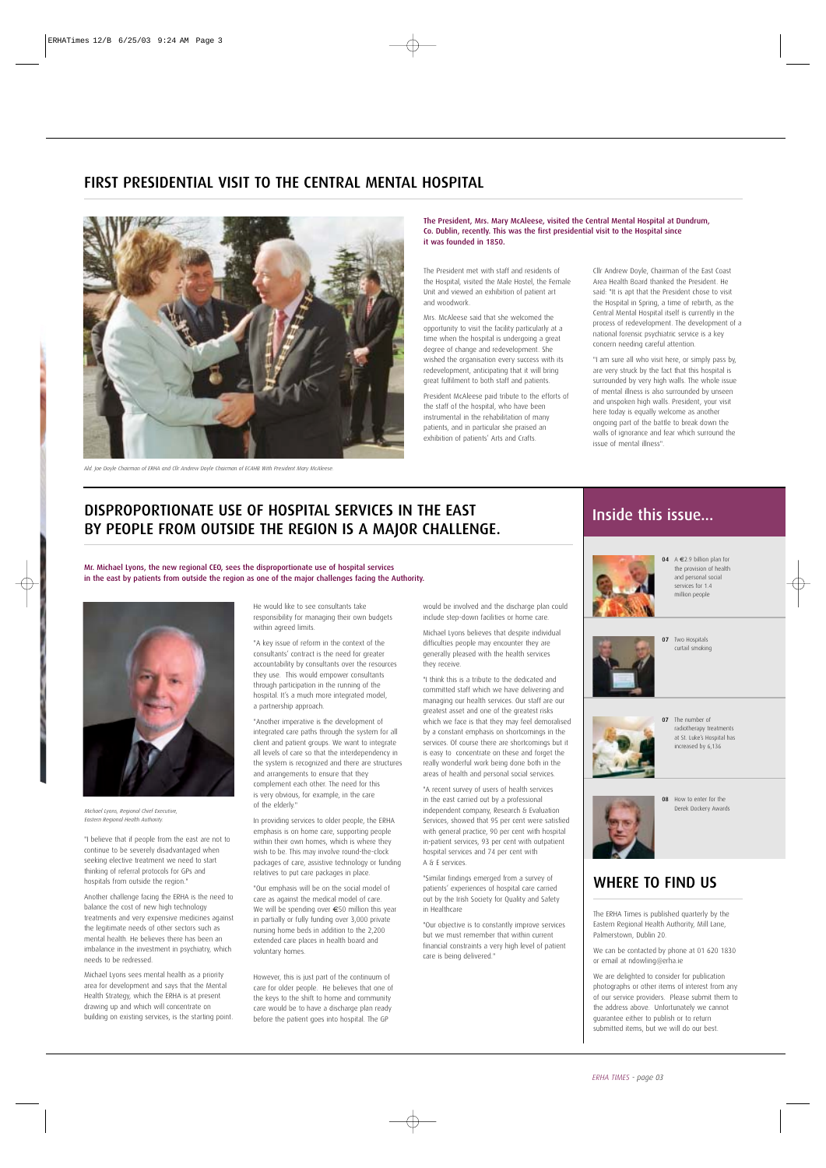## FIRST PRESIDENTIAL VISIT TO THE CENTRAL MENTAL HOSPITAL



*Ald. Joe Doyle Chairman of ERHA and Cllr Andrew Doyle Chairman of ECAHB With President Mary McAleese.*

The President, Mrs. Mary McAleese, visited the Central Mental Hospital at Dundrum, Co. Dublin, recently. This was the first presidential visit to the Hospital since it was founded in 1850.

The President met with staff and residents of the Hospital, visited the Male Hostel, the Female Unit and viewed an exhibition of patient art and woodwork.

Mrs. McAleese said that she welcomed the opportunity to visit the facility particularly at a time when the hospital is undergoing a great degree of change and redevelopment. She wished the organisation every success with its redevelopment, anticipating that it will bring great fulfilment to both staff and patients.

President McAleese paid tribute to the efforts of the staff of the hospital, who have been instrumental in the rehabilitation of many patients, and in particular she praised an exhibition of patients' Arts and Crafts.

Cllr Andrew Doyle, Chairman of the East Coast Area Health Board thanked the President. He said: "It is apt that the President chose to visit the Hospital in Spring, a time of rebirth, as the Central Mental Hospital itself is currently in the process of redevelopment. The development of a national forensic psychiatric service is a key concern needing careful attention.

"I am sure all who visit here, or simply pass by, are very struck by the fact that this hospital is surrounded by very high walls. The whole issue of mental illness is also surrounded by unseen and unspoken high walls. President, your visit here today is equally welcome as another ongoing part of the battle to break down the walls of ignorance and fear which surround the issue of mental illness".

## DISPROPORTIONATE USE OF HOSPITAL SERVICES IN THE EAST BY PEOPLE FROM OUTSIDE THE REGION IS A MAJOR CHALLENGE.

Mr. Michael Lyons, the new regional CEO, sees the disproportionate use of hospital services in the east by patients from outside the region as one of the major challenges facing the Authority.



*Michael Lyons, Regional Chief Executive, Eastern Regional Health Authority.*

"I believe that if people from the east are not to continue to be severely disadvantaged when seeking elective treatment we need to start thinking of referral protocols for GPs and hospitals from outside the region."

Another challenge facing the ERHA is the need to balance the cost of new high technology treatments and very expensive medicines against the legitimate needs of other sectors such as mental health. He believes there has been an imbalance in the investment in psychiatry, which needs to be redressed.

Michael Lyons sees mental health as a priority area for development and says that the Mental Health Strategy, which the ERHA is at present drawing up and which will concentrate on building on existing services, is the starting point. He would like to see consultants take responsibility for managing their own budgets within agreed limits.

"A key issue of reform in the context of the consultants' contract is the need for greater accountability by consultants over the resources they use. This would empower consultants through participation in the running of the hospital. It's a much more integrated model, a partnership approach.

"Another imperative is the development of integrated care paths through the system for all client and patient groups. We want to integrate all levels of care so that the interdependency in the system is recognized and there are structures and arrangements to ensure that they complement each other. The need for this is very obvious, for example, in the care of the elderly."

In providing services to older people, the ERHA emphasis is on home care, supporting people within their own homes, which is where they wish to be. This may involve round-the-clock packages of care, assistive technology or funding relatives to put care packages in place.

"Our emphasis will be on the social model of care as against the medical model of care. We will be spending over €50 million this year in partially or fully funding over 3,000 private nursing home beds in addition to the 2,200 extended care places in health board and voluntary homes.

However, this is just part of the continuum of care for older people. He believes that one of the keys to the shift to home and community care would be to have a discharge plan ready before the patient goes into hospital. The GP

would be involved and the discharge plan could include step-down facilities or home care.

Michael Lyons believes that despite individual difficulties people may encounter they are generally pleased with the health services they receive.

"I think this is a tribute to the dedicated and committed staff which we have delivering and managing our health services. Our staff are our greatest asset and one of the greatest risks which we face is that they may feel demoralised by a constant emphasis on shortcomings in the services. Of course there are shortcomings but it is easy to concentrate on these and forget the really wonderful work being done both in the areas of health and personal social services.

"A recent survey of users of health services in the east carried out by a professional independent company, Research & Evaluation Services, showed that 95 per cent were satisfied with general practice, 90 per cent with hospital in-patient services, 93 per cent with outpatient hospital services and 74 per cent with A & E services.

"Similar findings emerged from a survey of patients' experiences of hospital care carried out by the Irish Society for Quality and Safety in Healthcare

"Our objective is to constantly improve services but we must remember that within current financial constraints a very high level of patient care is being delivered."

## Inside this issue...



04 A €2.9 billion plan for the provision of health and personal social services for 1.4 million people



07 Two Hospitals curtail smoking



07 The number of radiotherapy treatments at St. Luke's Hospital has increased by 6,136



08 How to enter for the Derek Dockery Awards

## WHERE TO FIND US

The ERHA Times is published quarterly by the Eastern Regional Health Authority, Mill Lane, Palmerstown, Dublin 20.

We can be contacted by phone at 01 620 1830 or email at ndowling@erha.ie

We are delighted to consider for publication photographs or other items of interest from any of our service providers. Please submit them to the address above. Unfortunately we cannot guarantee either to publish or to return submitted items, but we will do our best.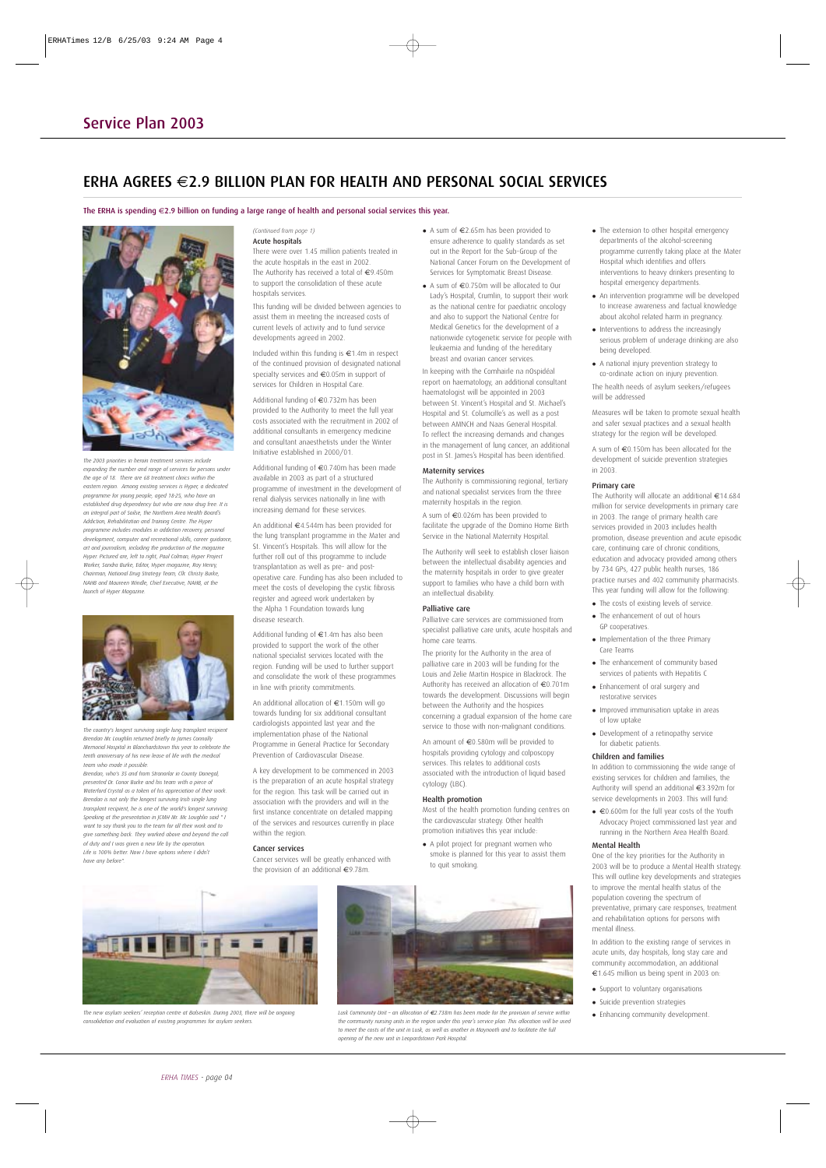## ERHA AGREES  $\in$  2.9 BILLION PLAN FOR HEALTH AND PERSONAL SOCIAL SERVICES

The ERHA is spending €2.9 billion on funding a large range of health and personal social services this year.



*The 2003 priorities in heroin treatment services include expanding the number and range of services for persons under the age of 18. There are 68 treatment clinics within the eastern region. Among existing services is Hyper, a dedicated programme for young people, aged 18-25, who have an established drug dependency but who are now drug free. It is an integral part of Soilse, the Northern Area Health Board's Addiction, Rehabilitation and Training Centre. The Hyper programme includes modules in addiction recovery, personal development, computer and recreational skills, career guidance, art and journalism, including the production of the magazine Hyper. Pictured are, left to right, Paul Colman, Hyper Project Worker, Sandra Burke, Editor, Hyper magazine, Ray Henry, Chairman, National Drug Strategy Team, Cllr. Christy Burke, NAHB and Maureen Windle, Chief Executive, NAHB, at the launch of Hyper Magazine.*



*The country's longest surviving single lung transplant recipient Brendan Mc Loughlin returned briefly to James Connolly Memorial Hospital in Blanchardstown this year to celebrate the tenth anniversary of his new lease of life with the medical team who made it possible.* 

*Brendan, who's 35 and from Stranorlar in County Donegal, presented Dr. Conor Burke and his team with a piece of Waterford Crystal as a token of his appreciation of their work. Brendan is not only the longest surviving Irish single lung transplant recipient, he is one of the world's longest surviving. Speaking at the presentation in JCMH Mr. Mc Loughlin said " I want to say thank you to the team for all their work and to give something back. They worked above and beyond the call of duty and I was given a new life by the operation. Life is 100% better. Now I have options where I didn't have any before".*

#### *(Continued from page 1)* Acute hospitals

There were over 1.45 million patients treated in the acute hospitals in the east in 2002. The Authority has received a total of €9.450m to support the consolidation of these acute hospitals services.

This funding will be divided between agencies to assist them in meeting the increased costs of current levels of activity and to fund service developments agreed in 2002.

Included within this funding is €1.4m in respect of the continued provision of designated national specialty services and €0.05m in support of services for Children in Hospital Care.

Additional funding of €0.732m has been provided to the Authority to meet the full year costs associated with the recruitment in 2002 of additional consultants in emergency medicine and consultant anaesthetists under the Winter Initiative established in 2000/01.

Additional funding of €0.740m has been made available in 2003 as part of a structured programme of investment in the development of renal dialysis services nationally in line with increasing demand for these services.

An additional €4.544m has been provided for the lung transplant programme in the Mater and St. Vincent's Hospitals. This will allow for the further roll out of this programme to include transplantation as well as pre- and postoperative care. Funding has also been included to meet the costs of developing the cystic fibrosis register and agreed work undertaken by the Alpha 1 Foundation towards lung disease research.

Additional funding of  $\in$  1.4m has also been provided to support the work of the other national specialist services located with the region. Funding will be used to further support and consolidate the work of these programmes in line with priority commitments.

An additional allocation of €1.150m will go towards funding for six additional consultant cardiologists appointed last year and the implementation phase of the National Programme in General Practice for Secondary Prevention of Cardiovascular Disease.

A key development to be commenced in 2003 is the preparation of an acute hospital strategy for the region. This task will be carried out in association with the providers and will in the first instance concentrate on detailed mapping of the services and resources currently in place within the region.

#### Cancer services

Cancer services will be greatly enhanced with the provision of an additional €9.78m.



 A sum of €0.750m will be allocated to Our Lady's Hospital, Crumlin, to support their work as the national centre for paediatric oncology and also to support the National Centre for Medical Genetics for the development of a nationwide cytogenetic service for people with leukaemia and funding of the hereditary breast and ovarian cancer services.

In keeping with the Comhairle na nOspidéal report on haematology, an additional consultant haematologist will be appointed in 2003 between St. Vincent's Hospital and St. Michael's Hospital and St. Columcille's as well as a post between AMNCH and Naas General Hospital. To reflect the increasing demands and changes in the management of lung cancer, an additional post in St. James's Hospital has been identified.

#### Maternity services

The Authority is commissioning regional, tertiary and national specialist services from the three maternity hospitals in the region.

A sum of €0.026m has been provided to facilitate the upgrade of the Domino Home Birth Service in the National Maternity Hospital.

The Authority will seek to establish closer liaison between the intellectual disability agencies and the maternity hospitals in order to give greater support to families who have a child born with an intellectual disability.

#### Palliative care

Palliative care services are commissioned from specialist palliative care units, acute hospitals and home care teams.

The priority for the Authority in the area of palliative care in 2003 will be funding for the Louis and Zelie Martin Hospice in Blackrock. The Authority has received an allocation of €0.701m towards the development. Discussions will begin between the Authority and the hospices concerning a gradual expansion of the home care service to those with non-malignant conditions.

An amount of €0.580m will be provided to hospitals providing cytology and colposcopy services. This relates to additional costs associated with the introduction of liquid based cytology (LBC).

#### Health promotion

Most of the health promotion funding centres on the cardiovascular strategy. Other health promotion initiatives this year include:

- A pilot project for pregnant women who smoke is planned for this year to assist them to quit smoking.
- METTE FILE E E

*The new asylum seekers' reception centre at Balseskin. During 2003, there will be ongoing consolidation and evaluation of existing programmes for asylum seekers.*



*Lusk Community Unit – an allocation of €2.738m has been made for the provision of service within the community nursing units in the region under this year's service plan. This allocation will be used to meet the costs of the unit in Lusk, as well as another in Maynooth and to facilitate the full opening of the new unit in Leopardstown Park Hospital.*

- The extension to other hospital emergency departments of the alcohol-screening programme currently taking place at the Mater Hospital which identifies and offers interventions to heavy drinkers presenting to hospital emergency departments.
- An intervention programme will be developed to increase awareness and factual knowledge about alcohol related harm in pregnancy.
- Interventions to address the increasingly serious problem of underage drinking are also being developed.
- A national injury prevention strategy to co-ordinate action on injury prevention. The health needs of asylum seekers/refugees

will be addressed Measures will be taken to promote sexual health

and safer sexual practices and a sexual health strategy for the region will be developed.

A sum of €0.150m has been allocated for the development of suicide prevention strategies in 2003.

#### Primary care

The Authority will allocate an additional €14.684 million for service developments in primary care in 2003. The range of primary health care services provided in 2003 includes health promotion, disease prevention and acute episodic care, continuing care of chronic conditions, education and advocacy provided among others by 734 GPs, 427 public health nurses, 186 practice nurses and 402 community pharmacists. This year funding will allow for the following:

- The costs of existing levels of service. The enhancement of out of hours
- GP cooperatives.
- Implementation of the three Primary Care Teams
- The enhancement of community based services of patients with Hepatitis C
- Enhancement of oral surgery and restorative services
- Improved immunisation uptake in areas of low uptake
- Development of a retinopathy service for diabetic patients.

#### Children and families

In addition to commissioning the wide range of existing services for children and families, the Authority will spend an additional €3.392m for service developments in 2003. This will fund:

 €0.600m for the full year costs of the Youth Advocacy Project commissioned last year and running in the Northern Area Health Board.

#### Mental Health

One of the key priorities for the Authority in 2003 will be to produce a Mental Health strategy. This will outline key developments and strategies to improve the mental health status of the population covering the spectrum of preventative, primary care responses, treatment and rehabilitation options for persons with mental illness.

In addition to the existing range of services in acute units, day hospitals, long stay care and community accommodation, an additional €1.645 million us being spent in 2003 on:

- Support to voluntary organisations
- Suicide prevention strategies
- Enhancing community development.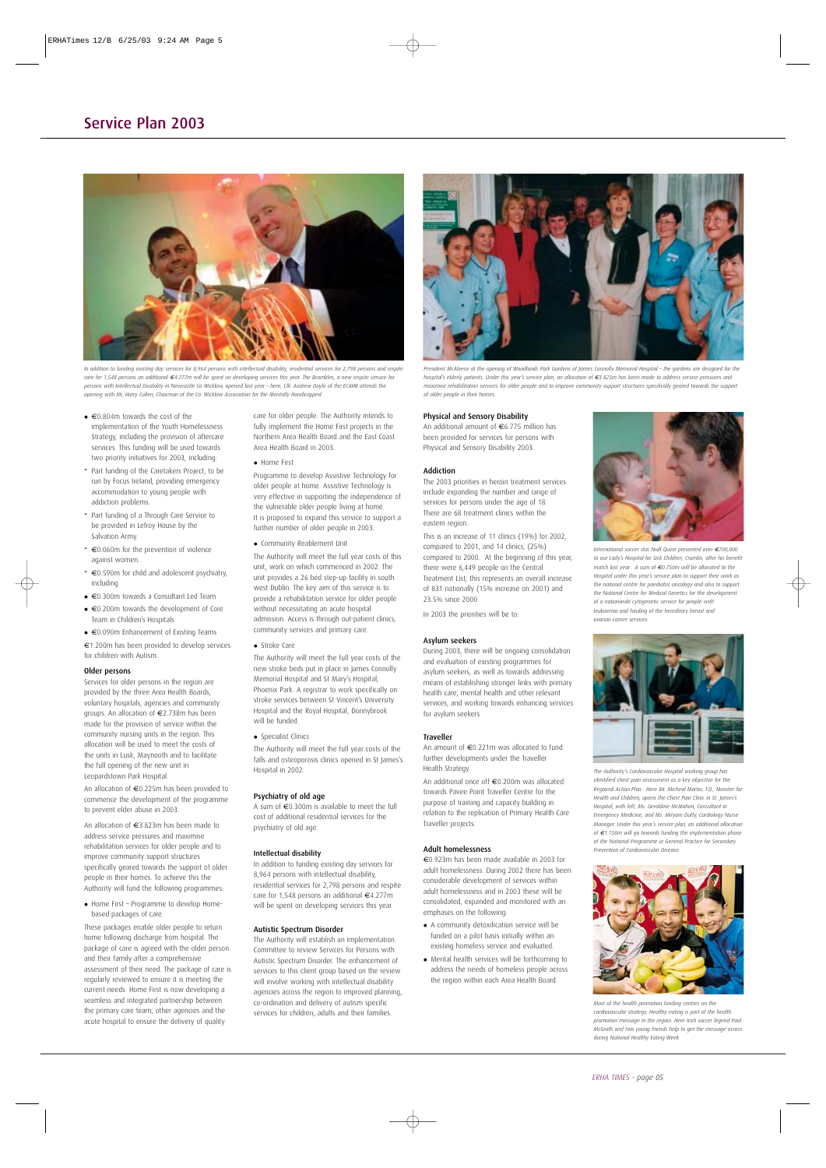

*In addition to funding existing day services for 8,964 persons with intellectual disability, residential services for 2,798 persons and respite care for 1,548 persons an additional €4.277m will be spent on developing services this year. The Brambles, a new respite service for persons with Intellectual Disability in Newcastle Co Wicklow, opened last year – here, Cllr. Andrew Doyle of the ECAHB attends the opening with Mr, Harry Cullen, Chairman of the Co. Wicklow Association for the Mentally Handicapped.*

- €0.804m towards the cost of the implementation of the Youth Homelessness Strategy, including the provision of aftercare services. This funding will be used towards two priority initiatives for 2003, including:
- Part funding of the Caretakers Project, to be run by Focus Ireland, providing emergency accommodation to young people with addiction problems.
- Part funding of a Through Care Service to be provided in Lefroy House by the Salvation Army.
- €0.060m for the prevention of violence against women.
- €0.590m for child and adolescent psychiatry, including
- €0.300m towards a Consultant Led Team
- €0.200m towards the development of Core Team in Children's Hospitals

 €0.090m Enhancement of Existing Teams €1.200m has been provided to develop services for children with Autism.

#### Older persons

Services for older persons in the region are provided by the three Area Health Boards, voluntary hospitals, agencies and community groups. An allocation of €2.738m has been made for the provision of service within the community nursing units in the region. This allocation will be used to meet the costs of the units in Lusk, Maynooth and to facilitate the full opening of the new unit in Leopardstown Park Hospital.

An allocation of €0.225m has been provided to commence the development of the programme to prevent elder abuse in 2003.

An allocation of €3.823m has been made to address service pressures and maximise rehabilitation services for older people and to improve community support structures specifically geared towards the support of older people in their homes. To achieve this the Authority will fund the following programmes:

 Home First – Programme to develop Homebased packages of care.

These packages enable older people to return home following discharge from hospital. The package of care is agreed with the older person and their family after a comprehensive assessment of their need. The package of care is regularly reviewed to ensure it is meeting the current needs. Home First is now developing a seamless and integrated partnership between the primary care team, other agencies and the acute hospital to ensure the delivery of quality

care for older people. The Authority intends to fully implement the Home First projects in the Northern Area Health Board and the East Coast Area Health Board in 2003.

• Home First

Programme to develop Assistive Technology for older people at home. Assistive Technology is very effective in supporting the independence of the vulnerable older people living at home. It is proposed to expand this service to support a further number of older people in 2003.

Community Reablement Unit

The Authority will meet the full year costs of this unit, work on which commenced in 2002. The unit provides a 26 bed step-up facility in south west Dublin. The key aim of this service is to provide a rehabilitation service for older people without necessitating an acute hospital admission. Access is through out-patient clinics, community services and primary care.

#### • Stroke Care

The Authority will meet the full year costs of the new stroke beds put in place in James Connolly Memorial Hospital and St Mary's Hospital, Phoenix Park. A registrar to work specifically on stroke services between St Vincent's University Hospital and the Royal Hospital, Donnybrook will be funded

#### • Specialist Clinics

The Authority will meet the full year costs of the falls and osteoporosis clinics opened in St James's Hospital in 2002.

#### Psychiatry of old age

A sum of €0.300m is available to meet the full cost of additional residential services for the psychiatry of old age.

#### Intellectual disability

In addition to funding existing day services for 8,964 persons with intellectual disability, residential services for 2,798 persons and respite care for 1,548 persons an additional €4.277m will be spent on developing services this year.

#### Autistic Spectrum Disorder

The Authority will establish an Implementation Committee to review Services for Persons with Autistic Spectrum Disorder. The enhancement of services to this client group based on the review will involve working with intellectual disability agencies across the region to improved planning, co-ordination and delivery of autism specific services for children, adults and their families.



*President McAleese at the opening of Woodlands Park Gardens at James Connolly Memorial Hospital – the gardens are designed for the hospital's elderly patients. Under this year's service plan, an allocation of €3.823m has been made to address service pressures and maximise rehabilitation services for older people and to improve community support structures specifically geared towards the support of older people in their homes.*

#### Physical and Sensory Disability

An additional amount of €6.775 million has been provided for services for persons with Physical and Sensory Disability 2003.

#### Addiction

The 2003 priorities in heroin treatment services include expanding the number and range of services for persons under the age of 18. There are 68 treatment clinics within the eastern region.

This is an increase of 11 clinics (19%) for 2002, compared to 2001, and 14 clinics, (25%) compared to 2000. At the beginning of this year, there were 6,449 people on the Central Treatment List; this represents an overall increase of 831 nationally (15% increase on 2001) and 23.5% since 2000

In 2003 the priorities will be to:

#### Asylum seekers

During 2003, there will be ongoing consolidation and evaluation of existing programmes for asylum seekers, as well as towards addressing means of establishing stronger links with primary health care, mental health and other relevant services, and working towards enhancing services for asylum seekers

#### Traveller

An amount of €0.221m was allocated to fund further developments under the Traveller Health Strategy.

An additional once off €0.200m was allocated towards Pavee Point Traveller Centre for the purpose of training and capacity building in relation to the replication of Primary Health Care Traveller projects.

#### Adult homelessness

€0.923m has been made available in 2003 for adult homelessness. During 2002 there has been considerable development of services within adult homelessness and in 2003 these will be consolidated, expanded and monitored with an emphases on the following:

- A community detoxification service will be funded on a pilot basis initially within an existing homeless service and evaluated.
- Mental health services will be forthcoming to address the needs of homeless people across the region within each Area Health Board.



*International soccer star Niall Quinn presented over €700,000 to our Lady's Hospital for Sick Children, Crumlin, after his benefit match last year . A sum of €0.750m will be allocated to the Hospital under this year's service plan to support their work as the national centre for paediatric oncology and also to support the National Centre for Medical Genetics for the development of a nationwide cytogenetic service for people with leukaemia and funding of the hereditary breast and ovarian cancer services.* 



*The Authority's Cardiovascular Hospital working group has identified chest pain assessment as a key objective for the Regional Action Plan. Here Mr. Micheal Martin, T.D., Minister for Health and Children, opens the Chest Pain Clinic in St. James's Hospital, with left, Ms. Geraldine McMahon, Consultant in Emergency Medicine, and Ms. Miryam Duffy, Cardiology Nurse Manager. Under this year's service plan, an additional allocation of €1.150m will go towards funding the implementation phase of the National Programme in General Practice for Secondary Prevention of Cardiovascular Disease.*



*Most of the health promotion funding centres on the cardiovascular strategy. Healthy eating is part of the health promotion message in the region. Here Irish soccer legend Paul McGrath and two young friends help to get the message across during National Healthy Eating Week*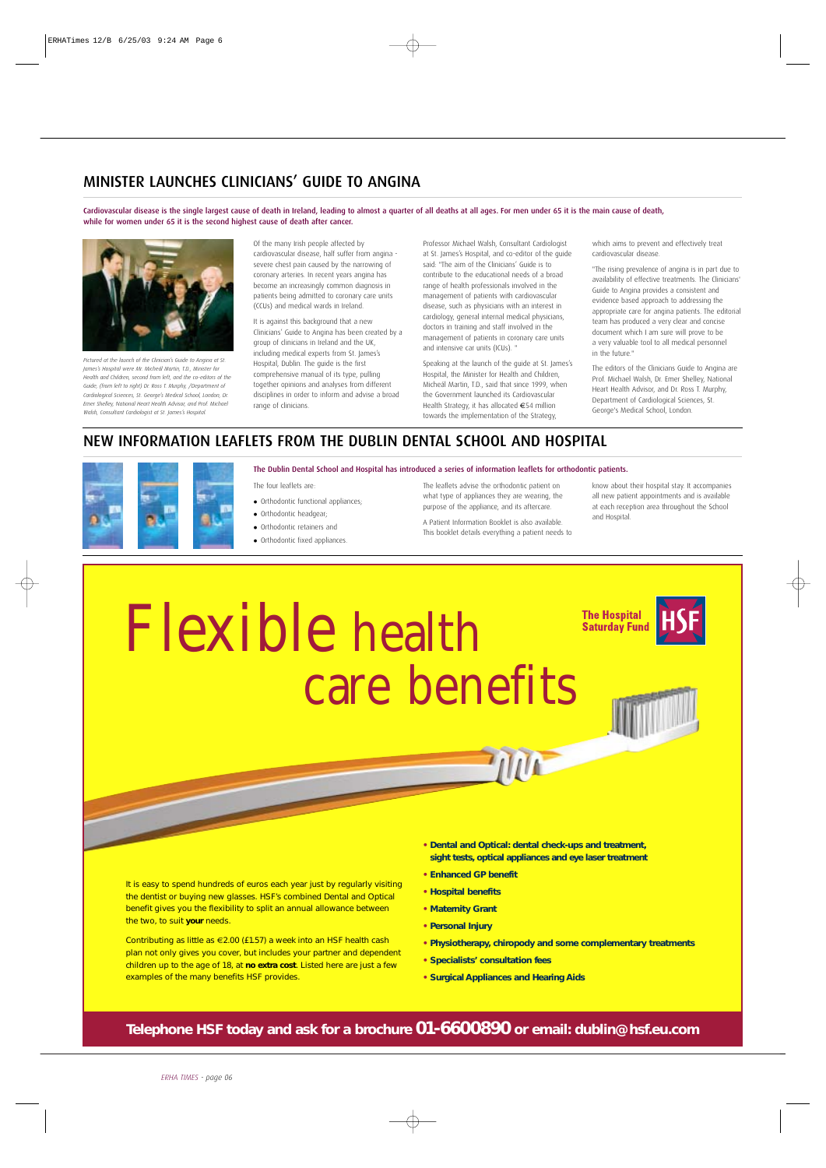## MINISTER LAUNCHES CLINICIANS' GUIDE TO ANGINA

Cardiovascular disease is the single largest cause of death in Ireland, leading to almost a quarter of all deaths at all ages. For men under 65 it is the main cause of death, while for women under 65 it is the second highest cause of death after cancer.



*Pictured at the launch of the Clinician's Guide to Angina at St. James's Hospital were Mr. Micheál Martin, T.D., Minister for Health and Children, second from left, and the co-editors of the Guide, (from left to right) Dr. Ross T. Murphy, /Department of Cardiological Sciences, St. George's Medical School, London, Dr. Emer Shelley, National Heart Health Advisor, and Prof. Michael Walsh, Consultant Cardiologist at St. James's Hospital.*

Of the many Irish people affected by cardiovascular disease, half suffer from angina severe chest pain caused by the narrowing of coronary arteries. In recent years angina has become an increasingly common diagnosis in patients being admitted to coronary care units (CCUs) and medical wards in Ireland.

It is against this background that a new Clinicians' Guide to Angina has been created by a group of clinicians in Ireland and the UK, including medical experts from St. James's Hospital, Dublin. The guide is the first comprehensive manual of its type, pulling together opinions and analyses from different disciplines in order to inform and advise a broad range of clinicians.

Professor Michael Walsh, Consultant Cardiologist at St. James's Hospital, and co-editor of the guide said: "The aim of the Clinicians' Guide is to contribute to the educational needs of a broad range of health professionals involved in the management of patients with cardiovascular disease, such as physicians with an interest in cardiology, general internal medical physicians, doctors in training and staff involved in the management of patients in coronary care units and intensive car units (ICUs). "

Speaking at the launch of the guide at St. James's Hospital, the Minister for Health and Children, Micheál Martin, T.D., said that since 1999, when the Government launched its Cardiovascular Health Strategy, it has allocated €54 million towards the implementation of the Strategy,

which aims to prevent and effectively treat cardiovascular disease.

"The rising prevalence of angina is in part due to availability of effective treatments. The Clinicians' Guide to Angina provides a consistent and evidence based approach to addressing the appropriate care for angina patients. The editorial team has produced a very clear and concise document which I am sure will prove to be a very valuable tool to all medical personnel in the future."

The editors of the Clinicians Guide to Angina are Prof. Michael Walsh, Dr. Emer Shelley, National Heart Health Advisor, and Dr. Ross T. Murphy, Department of Cardiological Sciences, St. George's Medical School, London.

## NEW INFORMATION LEAFLETS FROM THE DUBLIN DENTAL SCHOOL AND HOSPITAL



The Dublin Dental School and Hospital has introduced a series of information leaflets for orthodontic patients.

The four leaflets are:

- Orthodontic functional appliances;
- Orthodontic headgear;
- Orthodontic retainers and
- Orthodontic fixed appliances.

The leaflets advise the orthodontic patient on what type of appliances they are wearing, the purpose of the appliance, and its aftercare. A Patient Information Booklet is also available. This booklet details everything a patient needs to know about their hospital stay. It accompanies all new patient appointments and is available at each reception area throughout the School and Hospital.

# Flexible health care benefits

**The Hospital Saturday Fund** 



It is easy to spend hundreds of euros each year just by regularly visiting the dentist or buying new glasses. HSF's combined Dental and Optical benefit gives you the flexibility to split an annual allowance between the two, to suit *your* needs.

Contributing as little as €2.00 (£1.57) a week into an HSF health cash plan not only gives you cover, but includes your partner and dependent children up to the age of 18, at *no extra cost*. Listed here are just a few examples of the many benefits HSF provides.

**• Dental and Optical: dental check-ups and treatment, sight tests, optical appliances and eye laser treatment**

MUL

- **• Enhanced GP benefit**
- **• Hospital benefits**
- **• Maternity Grant**
- **• Personal Injury**
- **• Physiotherapy, chiropody and some complementary treatments**
- **• Specialists' consultation fees**
- **• Surgical Appliances and Hearing Aids**

**Telephone HSF today and ask for a brochure 01-6600890 or email: dublin@hsf.eu.com**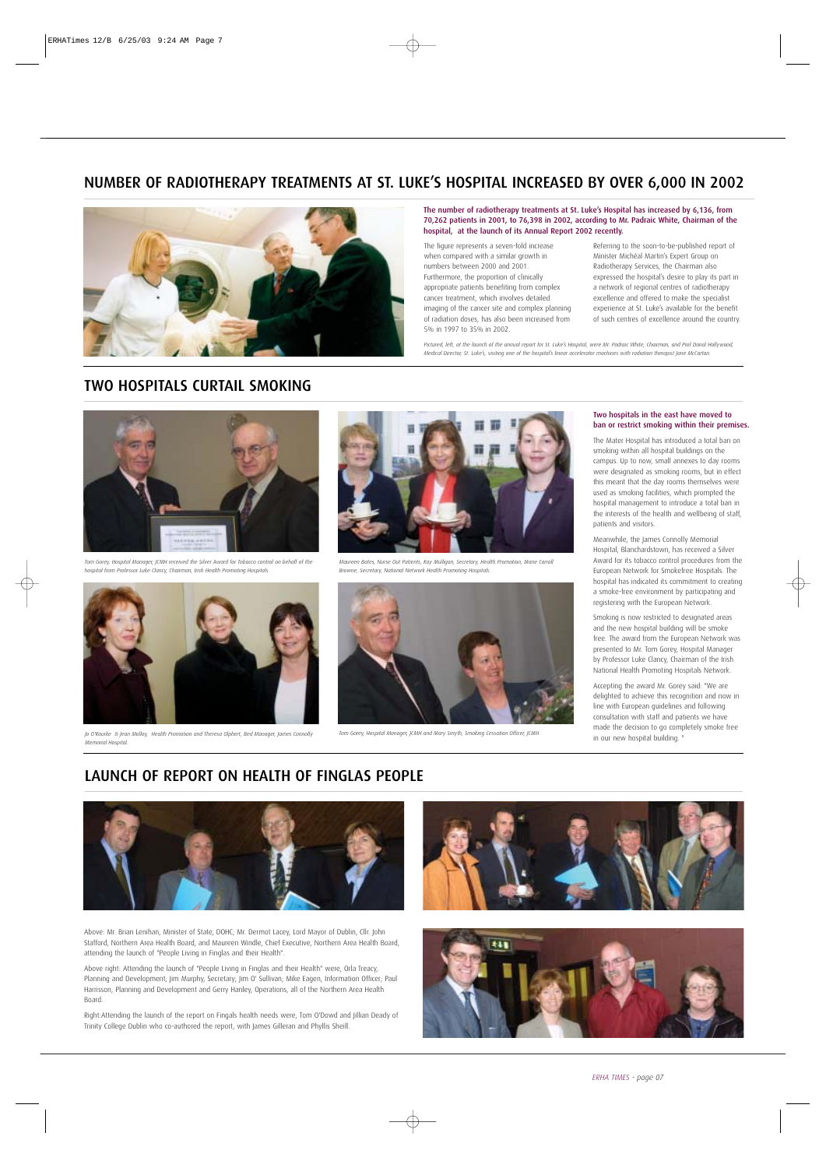## NUMBER OF RADIOTHERAPY TREATMENTS AT ST. LUKE'S HOSPITAL INCREASED BY OVER 6,000 IN 2002



The number of radiotherapy treatments at St. Luke's Hospital has increased by 6,136, from 70,262 patients in 2001, to 76,398 in 2002, according to Mr. Padraic White, Chairman of the hospital, at the launch of its Annual Report 2002 recently.

The figure represents a seven-fold increase when compared with a similar growth in numbers between 2000 and 2001. Furthermore, the proportion of clinically appropriate patients benefiting from complex cancer treatment, which involves detailed imaging of the cancer site and complex planning of radiation doses, has also been increased from 5% in 1997 to 35% in 2002.

Referring to the soon-to-be-published report of Minister Michéal Martin's Expert Group on Radiotherapy Services, the Chairman also expressed the hospital's desire to play its part in a network of regional centres of radiotherapy excellence and offered to make the specialist experience at St. Luke's available for the benefit of such centres of excellence around the country.

*Pictured, left, at the launch of the annual report for St. Luke's Hospital, were Mr. Padraic White, Chairman, and Prof Donal Hollywood, Medical Director, St. Luke's, visiting one of the hospital's linear accelerator machines with radiation therapist Jane McCartan.*

## TWO HOSPITALS CURTAIL SMOKING



*Tom Gorey, Hospital Manager, JCMH received the Silver Award for Tobacco control on behalf of the hospital from Professor Luke Clancy, Chairman, Irish Health Promoting Hospitals.*



*Maureen Bates, Nurse Out Patients, Kay Mulligan, Secretary, Health Promotion, Marie Carroll Browne, Secretary, National Network Health Promoting Hospitals.* 



Jo O'Rourke & Jean Molloy, Health Promotion and Theresa Olphert, Bed Manager, James Connolly **The Station Gessation Officer, James Connolly** *Jo O'Rourke & Jean Molloy, Health Promotion and Theresa Olphert, Bed Manager, Ja Memorial Hospital.*



#### Two hospitals in the east have moved to ban or restrict smoking within their premises.

The Mater Hospital has introduced a total ban on smoking within all hospital buildings on the campus. Up to now, small annexes to day rooms were designated as smoking rooms, but in effect this meant that the day rooms themselves were used as smoking facilities, which prompted the hospital management to introduce a total ban in the interests of the health and wellbeing of staff, patients and visitors.

Meanwhile, the James Connolly Memorial Hospital, Blanchardstown, has received a Silver Award for its tobacco control procedures from the European Network for Smokefree Hospitals. The hospital has indicated its commitment to creating a smoke-free environment by participating and registering with the European Network.

Smoking is now restricted to designated areas and the new hospital building will be smoke free. The award from the European Network was presented to Mr. Tom Gorey, Hospital Manager by Professor Luke Clancy, Chairman of the Irish National Health Promoting Hospitals Network.

Accepting the award Mr. Gorey said: "We are delighted to achieve this recognition and now in line with European guidelines and following consultation with staff and patients we have made the decision to go completely smoke free in our new hospital building. "

## LAUNCH OF REPORT ON HEALTH OF FINGLAS PEOPLE



Above: Mr. Brian Lenihan, Minister of State, DOHC; Mr. Dermot Lacey, Lord Mayor of Dublin, Cllr. John Stafford, Northern Area Health Board, and Maureen Windle, Chief Executive, Northern Area Health Board, attending the launch of "People Living in Finglas and their Health".

Above right: Attending the launch of "People Living in Finglas and their Health" were, Orla Treacy, Planning and Development; Jim Murphy, Secretary; Jim O' Sullivan; Mike Eagen, Information Officer; Paul Harrisson, Planning and Development and Gerry Hanley, Operations, all of the Northern Area Health Board.

Right:Attending the launch of the report on Fingals health needs were, Tom O'Dowd and Jillian Deady of Trinity College Dublin who co-authored the report, with James Gilleran and Phyllis Sheill.



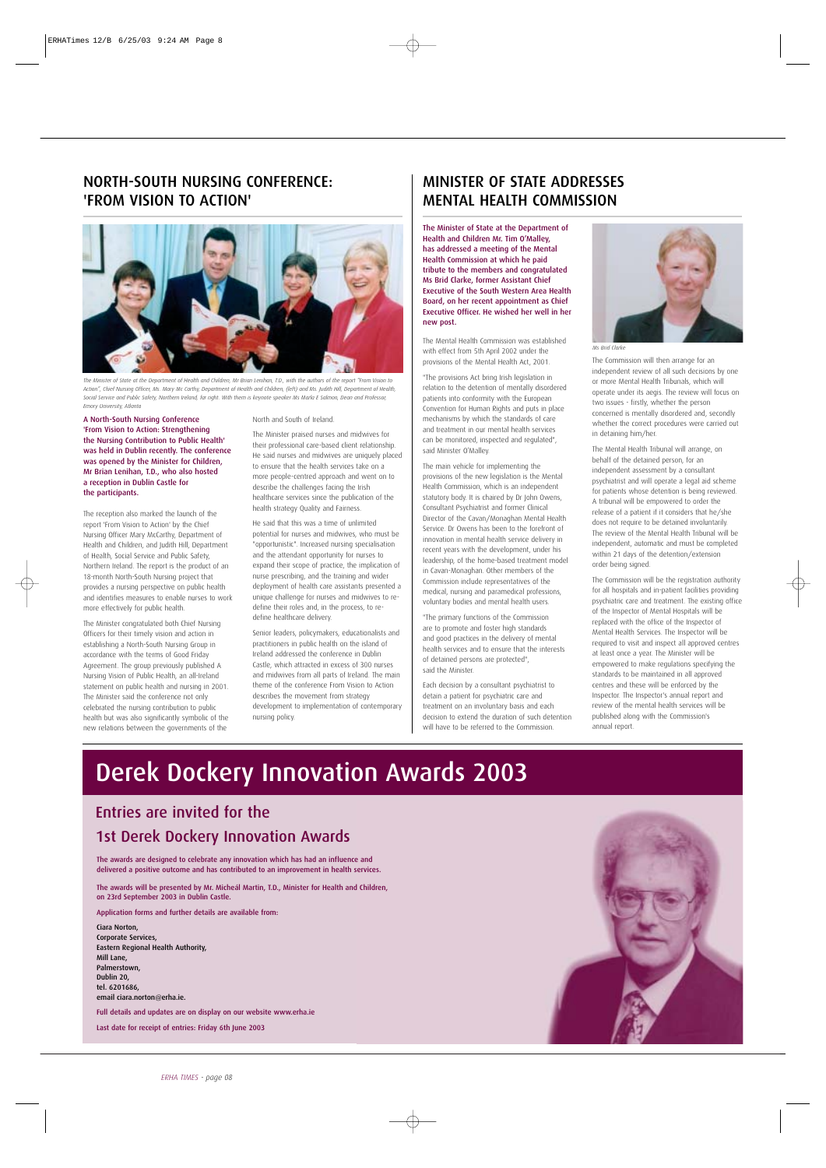## NORTH-SOUTH NURSING CONFERENCE: 'FROM VISION TO ACTION'



*The Minister of State at the Department of Health and Children, Mr Brian Lenihan, T.D., with the authors of the report "From Vision to Action", Chief Nursing Officer, Ms. Mary Mc Carthy, Department of Health and Children, (left) and Ms. Judith Hill, Department of Health, Social Service and Public Safety, Northern Ireland, far right. With them is keynote speaker Ms Marla E Salmon, Dean and Professor, Emory University, Atlanta*

A North-South Nursing Conference 'From Vision to Action: Strengthening the Nursing Contribution to Public Health' was held in Dublin recently. The conference was opened by the Minister for Children, Mr Brian Lenihan, T.D., who also hosted a reception in Dublin Castle for the participants.

The reception also marked the launch of the report 'From Vision to Action' by the Chief Nursing Officer Mary McCarthy, Department of Health and Children, and Judith Hill, Department of Health, Social Service and Public Safety, Northern Ireland. The report is the product of an 18-month North-South Nursing project that provides a nursing perspective on public health and identifies measures to enable nurses to work more effectively for public health.

The Minister congratulated both Chief Nursing Officers for their timely vision and action in establishing a North-South Nursing Group in accordance with the terms of Good Friday Agreement. The group previously published A Nursing Vision of Public Health, an all-Ireland statement on public health and nursing in 2001. The Minister said the conference not only celebrated the nursing contribution to public health but was also significantly symbolic of the new relations between the governments of the

North and South of Ireland.

The Minister praised nurses and midwives for their professional care-based client relationship. He said nurses and midwives are uniquely placed to ensure that the health services take on a more people-centred approach and went on to describe the challenges facing the Irish healthcare services since the publication of the health strategy Quality and Fairness.

He said that this was a time of unlimited potential for nurses and midwives, who must be "opportunistic". Increased nursing specialisation and the attendant opportunity for nurses to expand their scope of practice, the implication of nurse prescribing, and the training and wider deployment of health care assistants presented a unique challenge for nurses and midwives to redefine their roles and, in the process, to redefine healthcare delivery.

Senior leaders, policymakers, educationalists and practitioners in public health on the island of Ireland addressed the conference in Dublin Castle, which attracted in excess of 300 nurses and midwives from all parts of Ireland. The main theme of the conference From Vision to Action describes the movement from strategy development to implementation of contemporary nursing policy.

## MINISTER OF STATE ADDRESSES MENTAL HEALTH COMMISSION

The Minister of State at the Department of Health and Children Mr. Tim O'Malley, has addressed a meeting of the Mental Health Commission at which he paid tribute to the members and congratulated Ms Brid Clarke, former Assistant Chief Executive of the South Western Area Health Board, on her recent appointment as Chief Executive Officer. He wished her well in her new post.

The Mental Health Commission was established with effect from 5th April 2002 under the provisions of the Mental Health Act, 2001.

"The provisions Act bring Irish legislation in relation to the detention of mentally disordered patients into conformity with the European Convention for Human Rights and puts in place mechanisms by which the standards of care and treatment in our mental health services can be monitored, inspected and regulated", said Minister O'Malley.

The main vehicle for implementing the provisions of the new legislation is the Mental Health Commission, which is an independent statutory body. It is chaired by Dr John Owens, Consultant Psychiatrist and former Clinical Director of the Cavan/Monaghan Mental Health Service. Dr Owens has been to the forefront of innovation in mental health service delivery in recent years with the development, under his leadership, of the home-based treatment model in Cavan-Monaghan. Other members of the Commission include representatives of the medical, nursing and paramedical professions, voluntary bodies and mental health users.

"The primary functions of the Commission are to promote and foster high standards and good practices in the delivery of mental health services and to ensure that the interests of detained persons are protected", said the Minister.

Each decision by a consultant psychiatrist to detain a patient for psychiatric care and treatment on an involuntary basis and each decision to extend the duration of such detention will have to be referred to the Commission.



*Ms Brid Clarke*

The Commission will then arrange for an independent review of all such decisions by one or more Mental Health Tribunals, which will operate under its aegis. The review will focus on two issues - firstly, whether the person concerned is mentally disordered and, secondly whether the correct procedures were carried out in detaining him/her.

The Mental Health Tribunal will arrange, on behalf of the detained person, for an independent assessment by a consultant psychiatrist and will operate a legal aid scheme for patients whose detention is being reviewed. A tribunal will be empowered to order the release of a patient if it considers that he/she does not require to be detained involuntarily. The review of the Mental Health Tribunal will be independent, automatic and must be completed within 21 days of the detention/extension order being signed.

The Commission will be the registration authority for all hospitals and in-patient facilities providing psychiatric care and treatment. The existing office of the Inspector of Mental Hospitals will be replaced with the office of the Inspector of Mental Health Services. The Inspector will be required to visit and inspect all approved centres at least once a year. The Minister will be empowered to make regulations specifying the standards to be maintained in all approved centres and these will be enforced by the Inspector. The Inspector's annual report and review of the mental health services will be published along with the Commission's annual report.

## Derek Dockery Innovation Awards 2003

## Entries are invited for the 1st Derek Dockery Innovation Awards

The awards are designed to celebrate any innovation which has had an influence and delivered a positive outcome and has contributed to an improvement in health services.

The awards will be presented by Mr. Micheál Martin, T.D., Minister for Health and Children, on 23rd September 2003 in Dublin Castle.

Application forms and further details are available from:

Ciara Norton, Corporate Services, Eastern Regional Health Authority, Mill Lane, Palmerstown, Dublin 20, tel. 6201686, email ciara.norton@erha.ie.

Full details and updates are on display on our website www.erha.ie Last date for receipt of entries: Friday 6th June 2003

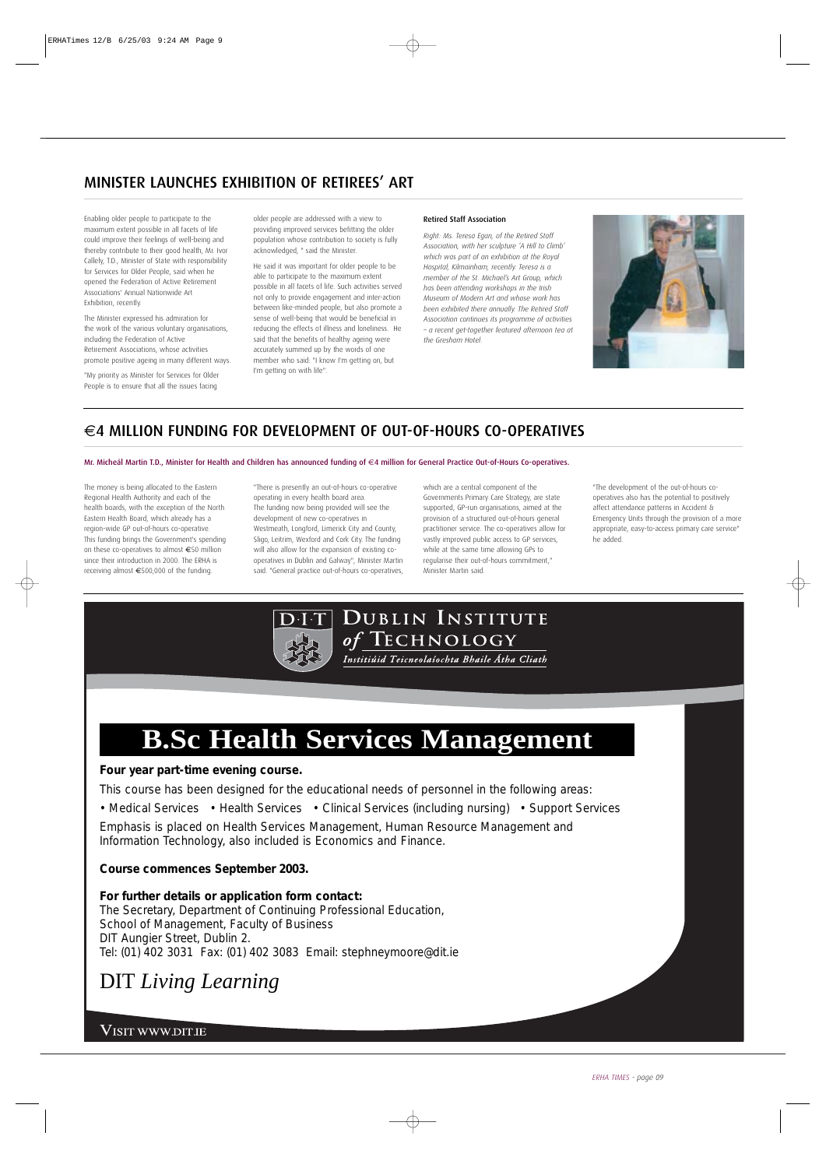## MINISTER LAUNCHES EXHIBITION OF RETIREES' ART

Enabling older people to participate to the maximum extent possible in all facets of life could improve their feelings of well-being and thereby contribute to their good health, Mr. Ivor Callely, T.D., Minister of State with responsibility for Services for Older People, said when he opened the Federation of Active Retirement Associations' Annual Nationwide Art Exhibition, recently.

The Minister expressed his admiration for the work of the various voluntary organisations, including the Federation of Active Retirement Associations, whose activities promote positive ageing in many different ways.

"My priority as Minister for Services for Older People is to ensure that all the issues facing

older people are addressed with a view to providing improved services befitting the older population whose contribution to society is fully acknowledged, " said the Minister.

He said it was important for older people to be able to participate to the maximum extent possible in all facets of life. Such activities served not only to provide engagement and inter-action between like-minded people, but also promote a sense of well-being that would be beneficial in reducing the effects of illness and loneliness. He said that the benefits of healthy ageing were accurately summed up by the words of one member who said: "I know I'm getting on, but I'm getting on with life".

#### Retired Staff Association

*Right: Ms. Teresa Egan, of the Retired Staff Association, with her sculpture 'A Hill to Climb' which was part of an exhibition at the Royal Hospital, Kilmainham, recently. Teresa is a member of the St. Michael's Art Group, which has been attending workshops in the Irish Museum of Modern Art and whose work has been exhibited there annually. The Retired Staff Association continues its programme of activities – a recent get-together featured afternoon tea at the Gresham Hotel.* 



## €4 MILLION FUNDING FOR DEVELOPMENT OF OUT-OF-HOURS CO-OPERATIVES

#### Mr. Micheál Martin T.D., Minister for Health and Children has announced funding of €4 million for General Practice Out-of-Hours Co-operatives.

The money is being allocated to the Eastern Regional Health Authority and each of the health boards, with the exception of the North Eastern Health Board, which already has a region-wide GP out-of-hours co-operative. This funding brings the Government's spending on these co-operatives to almost €50 million since their introduction in 2000. The ERHA is receiving almost €500,000 of the funding.

"There is presently an out-of-hours co-operative operating in every health board area. The funding now being provided will see the development of new co-operatives in Westmeath, Longford, Limerick City and County, Sligo, Leitrim, Wexford and Cork City. The funding will also allow for the expansion of existing cooperatives in Dublin and Galway", Minister Martin said. "General practice out-of-hours co-operatives,

which are a central component of the Governments Primary Care Strategy, are state supported, GP-run organisations, aimed at the provision of a structured out-of-hours general practitioner service. The co-operatives allow for vastly improved public access to GP services, while at the same time allowing GPs to regularise their out-of-hours commitment," Minister Martin said.

"The development of the out-of-hours cooperatives also has the potential to positively affect attendance patterns in Accident & Emergency Units through the provision of a more appropriate, easy-to-access primary care service" he added.



DUBLIN INSTITUTE of TECHNOLOGY

### Institiúid Teicneolaíochta Bhaile Átha Cliath

## **B.Sc Health Services Management**

#### **Four year part-time evening course.**

This course has been designed for the educational needs of personnel in the following areas:

• Medical Services • Health Services • Clinical Services (including nursing) • Support Services

Emphasis is placed on Health Services Management, Human Resource Management and Information Technology, also included is Economics and Finance.

### **Course commences September 2003.**

**For further details or application form contact:** The Secretary, Department of Continuing Professional Education, School of Management, Faculty of Business DIT Aungier Street, Dublin 2. Tel: (01) 402 3031 Fax: (01) 402 3083 Email: stephneymoore@dit.ie

## DIT *Living Learning*

**VISIT WWW.DIT.IE**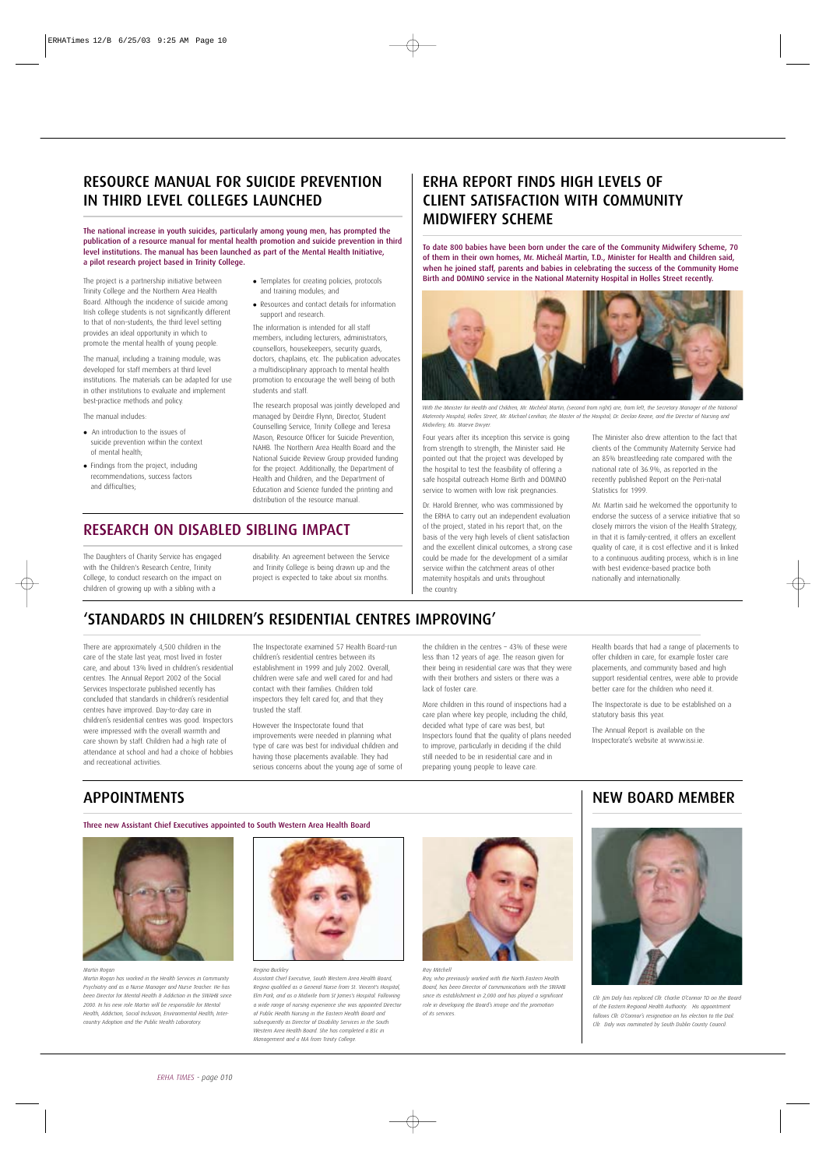## RESOURCE MANUAL FOR SUICIDE PREVENTION IN THIRD LEVEL COLLEGES LAUNCHED

The national increase in youth suicides, particularly among young men, has prompted the publication of a resource manual for mental health promotion and suicide prevention in third level institutions. The manual has been launched as part of the Mental Health Initiative, a pilot research project based in Trinity College.

The project is a partnership initiative between Trinity College and the Northern Area Health Board. Although the incidence of suicide among Irish college students is not significantly different to that of non-students, the third level setting provides an ideal opportunity in which to promote the mental health of young people.

The manual, including a training module, was developed for staff members at third level institutions. The materials can be adapted for use in other institutions to evaluate and implement best-practice methods and policy.

#### The manual includes:

- An introduction to the issues of suicide prevention within the context of mental health;
- Findings from the project, including recommendations, success factors and difficulties;
- Templates for creating policies, protocols and training modules; and
- Resources and contact details for information support and research.

The information is intended for all staff members, including lecturers, administrators, counsellors, housekeepers, security guards, doctors, chaplains, etc. The publication advocates a multidisciplinary approach to mental health promotion to encourage the well being of both students and staff.

The research proposal was jointly developed and managed by Deirdre Flynn, Director, Student Counselling Service, Trinity College and Teresa Mason, Resource Officer for Suicide Prevention, NAHB. The Northern Area Health Board and the National Suicide Review Group provided funding for the project. Additionally, the Department of Health and Children, and the Department of Education and Science funded the printing and distribution of the resource manual.

## RESEARCH ON DISABLED SIBLING IMPACT

The Daughters of Charity Service has engaged with the Children's Research Centre, Trinity College, to conduct research on the impact on children of growing up with a sibling with a

disability. An agreement between the Service and Trinity College is being drawn up and the project is expected to take about six months.

## ERHA REPORT FINDS HIGH LEVELS OF CLIENT SATISFACTION WITH COMMUNITY MIDWIFERY SCHEME

To date 800 babies have been born under the care of the Community Midwifery Scheme, 70 of them in their own homes, Mr. Micheál Martin, T.D., Minister for Health and Children said, when he joined staff, parents and babies in celebrating the success of the Community Home Birth and DOMINO service in the National Maternity Hospital in Holles Street recently.



*With the Minister for Health and Children, Mr. Michéal Martin, (second from right) are, from left, the Secretary Manager of the National Maternity Hospital, Holles Street, Mr. Michael Lenihan, the Master of the Hospital, Dr. Declan Keane, and the Director of Nursing and Midwifery, Ms. Maeve Dwyer.* 

Four years after its inception this service is going from strength to strength, the Minister said. He pointed out that the project was developed by the hospital to test the feasibility of offering a safe hospital outreach Home Birth and DOMINO service to women with low risk pregnancies.

Dr. Harold Brenner, who was commissioned by the ERHA to carry out an independent evaluation of the project, stated in his report that, on the basis of the very high levels of client satisfaction and the excellent clinical outcomes, a strong case could be made for the development of a similar service within the catchment areas of other maternity hospitals and units throughout the country.

The Minister also drew attention to the fact that clients of the Community Maternity Service had an 85% breastfeeding rate compared with the national rate of 36.9%, as reported in the recently published Report on the Peri-natal Statistics for 1999.

Mr. Martin said he welcomed the opportunity to endorse the success of a service initiative that so closely mirrors the vision of the Health Strategy, in that it is family-centred, it offers an excellent quality of care, it is cost effective and it is linked to a continuous auditing process, which is in line with best evidence-based practice both nationally and internationally.

## 'STANDARDS IN CHILDREN'S RESIDENTIAL CENTRES IMPROVING'

There are approximately 4,500 children in the care of the state last year, most lived in foster care, and about 13% lived in children's residential centres. The Annual Report 2002 of the Social Services Inspectorate published recently has concluded that standards in children's residential centres have improved. Day-to-day care in children's residential centres was good. Inspectors were impressed with the overall warmth and care shown by staff. Children had a high rate of attendance at school and had a choice of hobbies and recreational activities.

The Inspectorate examined 57 Health Board-run children's residential centres between its establishment in 1999 and July 2002. Overall, children were safe and well cared for and had contact with their families. Children told inspectors they felt cared for, and that they trusted the staff.

However the Inspectorate found that improvements were needed in planning what type of care was best for individual children and having those placements available. They had serious concerns about the young age of some of

the children in the centres – 43% of these were less than 12 years of age. The reason given for their being in residential care was that they were with their brothers and sisters or there was a lack of foster care.

More children in this round of inspections had a care plan where key people, including the child, decided what type of care was best, but Inspectors found that the quality of plans needed to improve, particularly in deciding if the child still needed to be in residential care and in preparing young people to leave care.

Health boards that had a range of placements to offer children in care, for example foster care placements, and community based and high support residential centres, were able to provide better care for the children who need it.

The Inspectorate is due to be established on a statutory basis this year.

The Annual Report is available on the Inspectorate's website at www.issi.ie.

## APPOINTMENTS

Three new Assistant Chief Executives appointed to South Western Area Health Board



*Martin Rogan* 

*Martin Rogan has worked in the Health Services in Community Psychiatry and as a Nurse Manager and Nurse Teacher. He has been Director for Mental Health & Addiction in the SWAHB since 2000. In his new role Martin will be responsible for Mental Health, Addiction, Social Inclusion, Environmental Health, Intercountry Adoption and the Public Health Laboratory.*



*Regina Buckley Assistant Chief Executive, South Western Area Health Board, Regina qualified as a General Nurse from St. Vincent's Hospital, Elm Park, and as a Midwife from St James's Hospital. Following a wide range of nursing experience she was appointed Director of Public Health Nursing in the Eastern Health Board and*

*subsequently as Director of Disability Services in the South Western Area Health Board. She has completed a BSc in Management and a MA from Trinity College.*



*Ray Mitchell*

*Ray, who previously worked with the North Eastern Health Board, has been Director of Communications with the SWAHB since its establishment in 2,000 and has played a significant role in developing the Board's image and the promotion of its services.* 

### NEW BOARD MEMBER



*Cllr. Jim Daly has replaced Cllr. Charlie O'Connor TD on the Board of the Eastern Regional Health Authority. His appointment follows Cllr. O'Connor's resignation on his election to the Dail. Cllr. Daly was nominated by South Dublin County Council.*